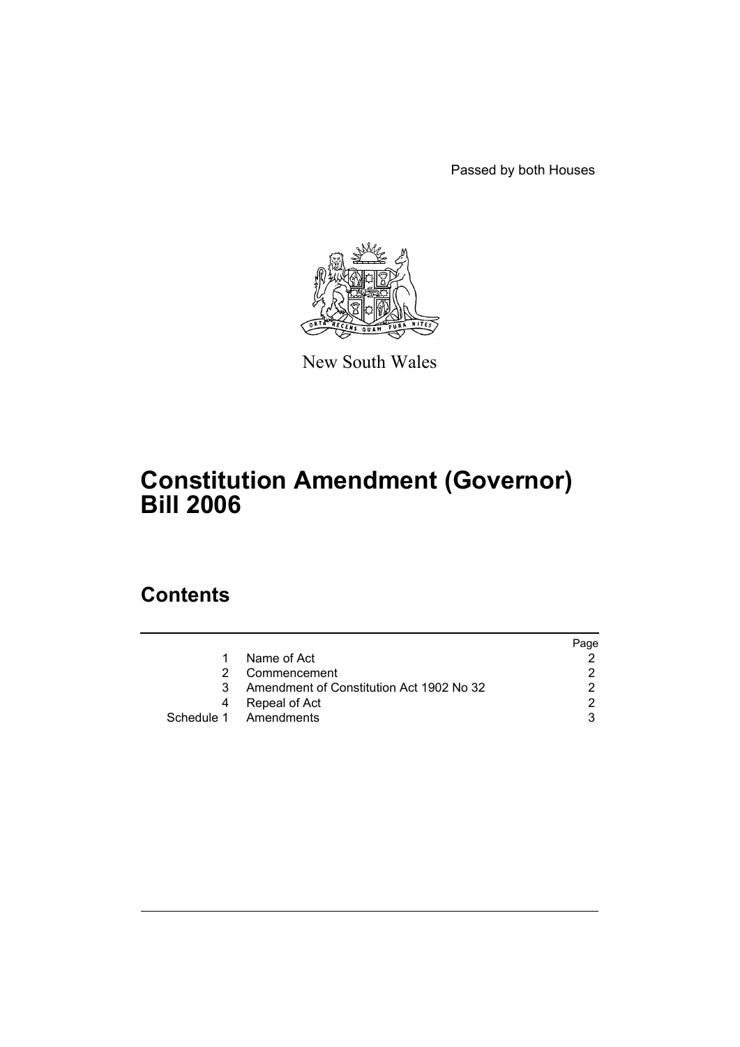Passed by both Houses



New South Wales

# **Constitution Amendment (Governor) Bill 2006**

# **Contents**

|    |                                          | Page |
|----|------------------------------------------|------|
| 1  | Name of Act                              |      |
| 2. | Commencement                             |      |
| 3. | Amendment of Constitution Act 1902 No 32 |      |
| 4  | Repeal of Act                            |      |
|    | Schedule 1 Amendments                    |      |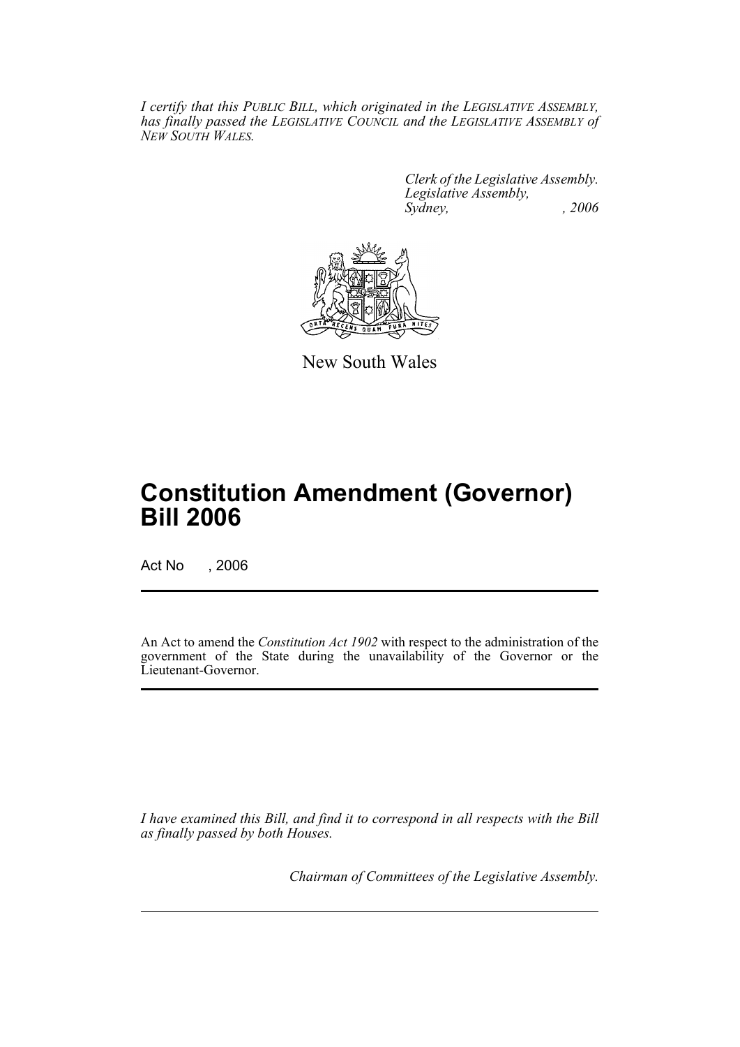*I certify that this PUBLIC BILL, which originated in the LEGISLATIVE ASSEMBLY, has finally passed the LEGISLATIVE COUNCIL and the LEGISLATIVE ASSEMBLY of NEW SOUTH WALES.*

> *Clerk of the Legislative Assembly. Legislative Assembly, Sydney, , 2006*



New South Wales

# **Constitution Amendment (Governor) Bill 2006**

Act No , 2006

An Act to amend the *Constitution Act 1902* with respect to the administration of the government of the State during the unavailability of the Governor or the Lieutenant-Governor.

*I have examined this Bill, and find it to correspond in all respects with the Bill as finally passed by both Houses.*

*Chairman of Committees of the Legislative Assembly.*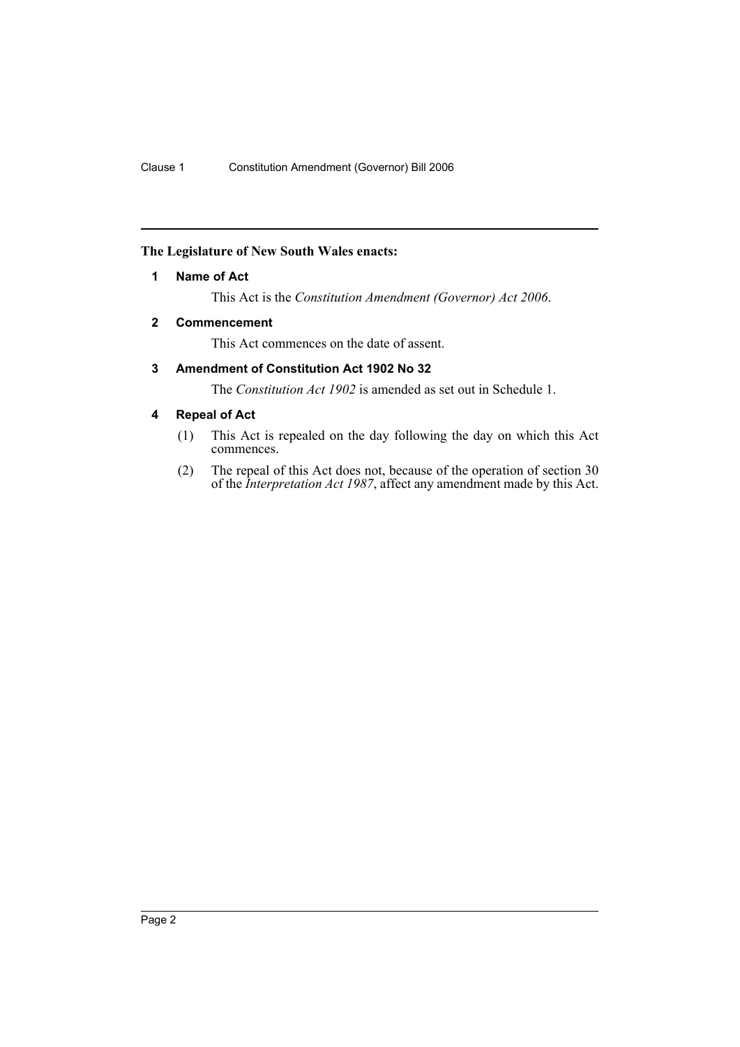## **The Legislature of New South Wales enacts:**

### **1 Name of Act**

This Act is the *Constitution Amendment (Governor) Act 2006*.

# **2 Commencement**

This Act commences on the date of assent.

# **3 Amendment of Constitution Act 1902 No 32**

The *Constitution Act 1902* is amended as set out in Schedule 1.

# **4 Repeal of Act**

- (1) This Act is repealed on the day following the day on which this Act commences.
- (2) The repeal of this Act does not, because of the operation of section 30 of the *Interpretation Act 1987*, affect any amendment made by this Act.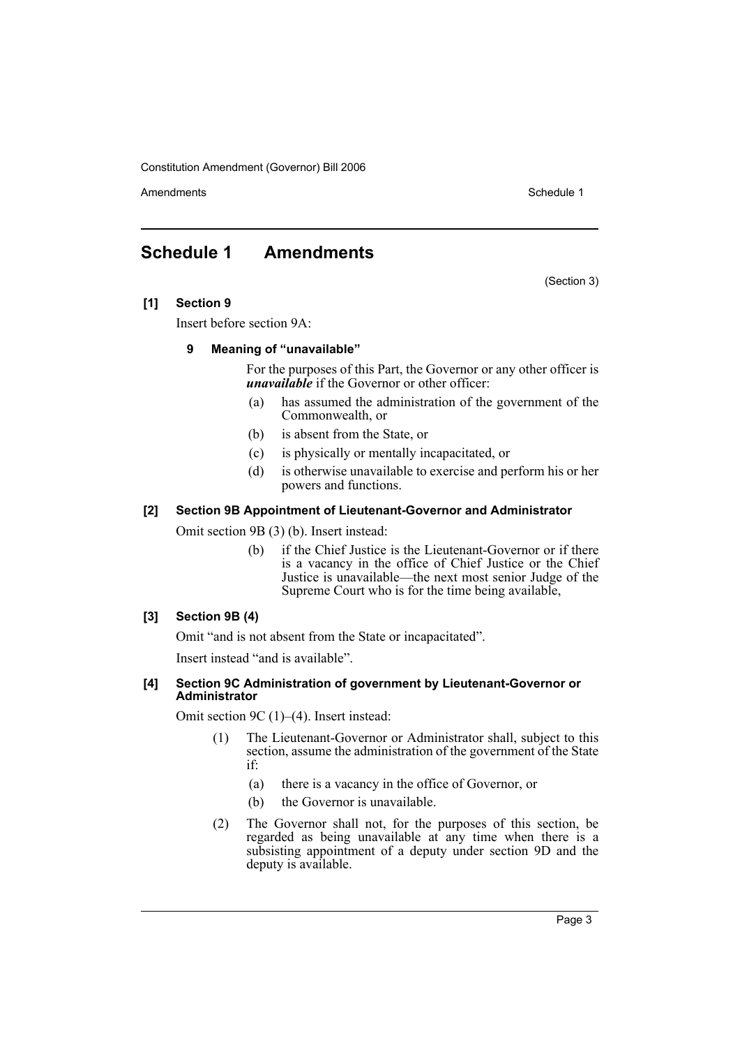Constitution Amendment (Governor) Bill 2006

Amendments **Schedule 1** and the set of the set of the set of the set of the set of the set of the set of the set of the set of the set of the set of the set of the set of the set of the set of the set of the set of the set

# **Schedule 1 Amendments**

(Section 3)

#### **[1] Section 9**

Insert before section 9A:

#### **9 Meaning of "unavailable"**

For the purposes of this Part, the Governor or any other officer is *unavailable* if the Governor or other officer:

- (a) has assumed the administration of the government of the Commonwealth, or
- (b) is absent from the State, or
- (c) is physically or mentally incapacitated, or
- (d) is otherwise unavailable to exercise and perform his or her powers and functions.

# **[2] Section 9B Appointment of Lieutenant-Governor and Administrator**

Omit section 9B (3) (b). Insert instead:

(b) if the Chief Justice is the Lieutenant-Governor or if there is a vacancy in the office of Chief Justice or the Chief Justice is unavailable—the next most senior Judge of the Supreme Court who is for the time being available,

## **[3] Section 9B (4)**

Omit "and is not absent from the State or incapacitated".

Insert instead "and is available".

#### **[4] Section 9C Administration of government by Lieutenant-Governor or Administrator**

Omit section 9C (1)–(4). Insert instead:

- (1) The Lieutenant-Governor or Administrator shall, subject to this section, assume the administration of the government of the State if:
	- (a) there is a vacancy in the office of Governor, or
	- (b) the Governor is unavailable.
- (2) The Governor shall not, for the purposes of this section, be regarded as being unavailable at any time when there is a subsisting appointment of a deputy under section 9D and the deputy is available.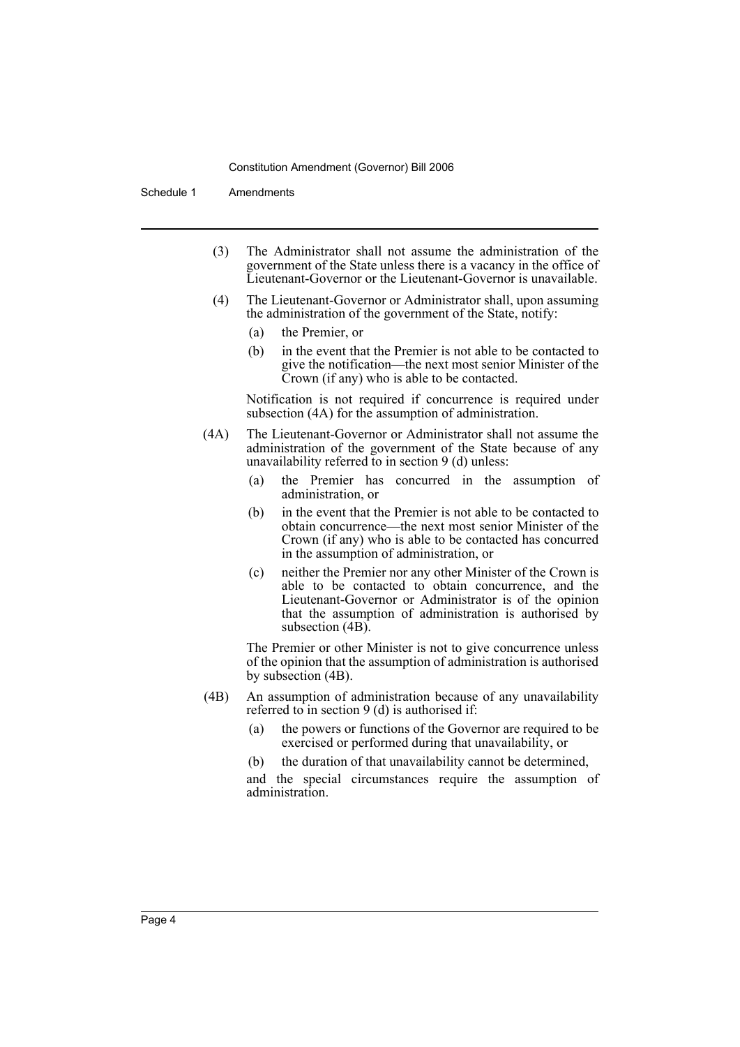#### Constitution Amendment (Governor) Bill 2006

Schedule 1 Amendments

- (3) The Administrator shall not assume the administration of the government of the State unless there is a vacancy in the office of Lieutenant-Governor or the Lieutenant-Governor is unavailable.
- (4) The Lieutenant-Governor or Administrator shall, upon assuming the administration of the government of the State, notify:
	- (a) the Premier, or
	- (b) in the event that the Premier is not able to be contacted to give the notification—the next most senior Minister of the Crown (if any) who is able to be contacted.

Notification is not required if concurrence is required under subsection (4A) for the assumption of administration.

- (4A) The Lieutenant-Governor or Administrator shall not assume the administration of the government of the State because of any unavailability referred to in section 9 (d) unless:
	- (a) the Premier has concurred in the assumption of administration, or
	- (b) in the event that the Premier is not able to be contacted to obtain concurrence—the next most senior Minister of the Crown (if any) who is able to be contacted has concurred in the assumption of administration, or
	- (c) neither the Premier nor any other Minister of the Crown is able to be contacted to obtain concurrence, and the Lieutenant-Governor or Administrator is of the opinion that the assumption of administration is authorised by subsection (4B).

The Premier or other Minister is not to give concurrence unless of the opinion that the assumption of administration is authorised by subsection (4B).

- (4B) An assumption of administration because of any unavailability referred to in section 9 (d) is authorised if:
	- (a) the powers or functions of the Governor are required to be exercised or performed during that unavailability, or
	- (b) the duration of that unavailability cannot be determined,

and the special circumstances require the assumption of administration.